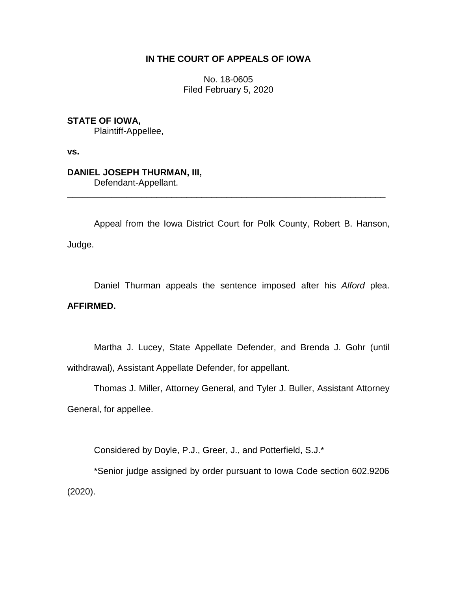### **IN THE COURT OF APPEALS OF IOWA**

No. 18-0605 Filed February 5, 2020

**STATE OF IOWA,** Plaintiff-Appellee,

**vs.**

# **DANIEL JOSEPH THURMAN, III,**

Defendant-Appellant.

Appeal from the Iowa District Court for Polk County, Robert B. Hanson, Judge.

\_\_\_\_\_\_\_\_\_\_\_\_\_\_\_\_\_\_\_\_\_\_\_\_\_\_\_\_\_\_\_\_\_\_\_\_\_\_\_\_\_\_\_\_\_\_\_\_\_\_\_\_\_\_\_\_\_\_\_\_\_\_\_\_

Daniel Thurman appeals the sentence imposed after his *Alford* plea. **AFFIRMED.**

Martha J. Lucey, State Appellate Defender, and Brenda J. Gohr (until withdrawal), Assistant Appellate Defender, for appellant.

Thomas J. Miller, Attorney General, and Tyler J. Buller, Assistant Attorney General, for appellee.

Considered by Doyle, P.J., Greer, J., and Potterfield, S.J.\*

\*Senior judge assigned by order pursuant to Iowa Code section 602.9206 (2020).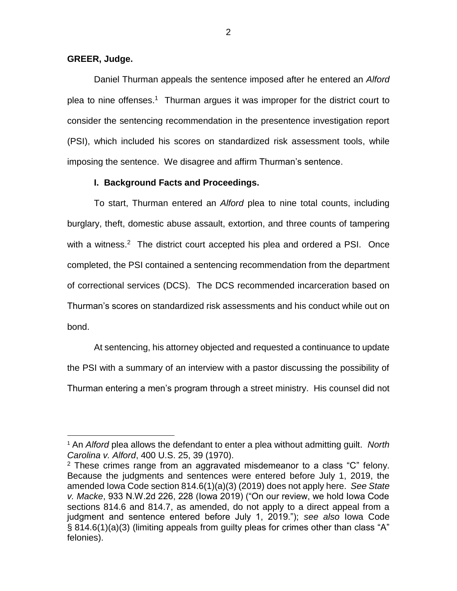#### **GREER, Judge.**

 $\overline{a}$ 

Daniel Thurman appeals the sentence imposed after he entered an *Alford* plea to nine offenses.<sup>1</sup> Thurman argues it was improper for the district court to consider the sentencing recommendation in the presentence investigation report (PSI), which included his scores on standardized risk assessment tools, while imposing the sentence. We disagree and affirm Thurman's sentence.

#### **I. Background Facts and Proceedings.**

To start, Thurman entered an *Alford* plea to nine total counts, including burglary, theft, domestic abuse assault, extortion, and three counts of tampering with a witness.<sup>2</sup> The district court accepted his plea and ordered a PSI. Once completed, the PSI contained a sentencing recommendation from the department of correctional services (DCS). The DCS recommended incarceration based on Thurman's scores on standardized risk assessments and his conduct while out on bond.

At sentencing, his attorney objected and requested a continuance to update the PSI with a summary of an interview with a pastor discussing the possibility of Thurman entering a men's program through a street ministry. His counsel did not

<sup>1</sup> An *Alford* plea allows the defendant to enter a plea without admitting guilt. *North Carolina v. Alford*, 400 U.S. 25, 39 (1970).

<sup>&</sup>lt;sup>2</sup> These crimes range from an aggravated misdemeanor to a class "C" felony. Because the judgments and sentences were entered before July 1, 2019, the amended Iowa Code section 814.6(1)(a)(3) (2019) does not apply here. *See State v. Macke*, 933 N.W.2d 226, 228 (Iowa 2019) ("On our review, we hold Iowa Code sections 814.6 and [814.7,](https://1.next.westlaw.com/Link/Document/FullText?findType=L&pubNum=1000256&cite=IASTS814.7&originatingDoc=I0cb84ea0f65111e9ad6fd2296b11a061&refType=LQ&originationContext=document&transitionType=DocumentItem&contextData=(sc.Keycite)) as amended, do not apply to a direct appeal from a judgment and sentence entered before July 1, 2019."); *see also* Iowa Code § 814.6(1)(a)(3) (limiting appeals from guilty pleas for crimes other than class "A" felonies).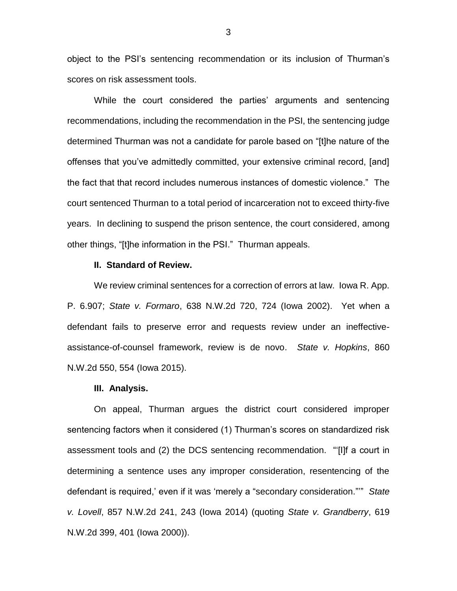object to the PSI's sentencing recommendation or its inclusion of Thurman's scores on risk assessment tools.

While the court considered the parties' arguments and sentencing recommendations, including the recommendation in the PSI, the sentencing judge determined Thurman was not a candidate for parole based on "[t]he nature of the offenses that you've admittedly committed, your extensive criminal record, [and] the fact that that record includes numerous instances of domestic violence." The court sentenced Thurman to a total period of incarceration not to exceed thirty-five years. In declining to suspend the prison sentence, the court considered, among other things, "[t]he information in the PSI." Thurman appeals.

#### **II. Standard of Review.**

We review criminal sentences for a correction of errors at law. Iowa R. App. P. 6.907; *State v. Formaro*, 638 N.W.2d 720, 724 (Iowa 2002). Yet when a defendant fails to preserve error and requests review under an ineffectiveassistance-of-counsel framework, review is de novo. *State v. Hopkins*, 860 N.W.2d 550, 554 (Iowa 2015).

#### **III. Analysis.**

On appeal, Thurman argues the district court considered improper sentencing factors when it considered (1) Thurman's scores on standardized risk assessment tools and (2) the DCS sentencing recommendation. "'[I]f a court in determining a sentence uses any improper consideration, resentencing of the defendant is required,' even if it was 'merely a "secondary consideration."'" *State v. Lovell*, 857 N.W.2d 241, 243 (Iowa 2014) (quoting *State v. Grandberry*, 619 N.W.2d 399, 401 (Iowa 2000)).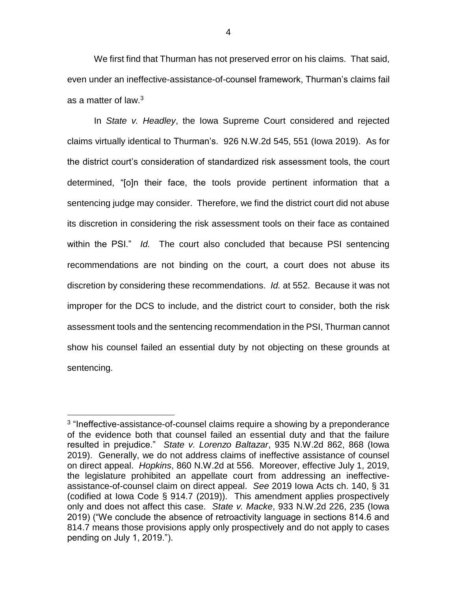We first find that Thurman has not preserved error on his claims. That said, even under an ineffective-assistance-of-counsel framework, Thurman's claims fail as a matter of law.<sup>3</sup>

In *State v. Headley*, the Iowa Supreme Court considered and rejected claims virtually identical to Thurman's. 926 N.W.2d 545, 551 (Iowa 2019). As for the district court's consideration of standardized risk assessment tools, the court determined, "[o]n their face, the tools provide pertinent information that a sentencing judge may consider. Therefore, we find the district court did not abuse its discretion in considering the risk assessment tools on their face as contained within the PSI." *Id.* The court also concluded that because PSI sentencing recommendations are not binding on the court, a court does not abuse its discretion by considering these recommendations. *Id.* at 552. Because it was not improper for the DCS to include, and the district court to consider, both the risk assessment tools and the sentencing recommendation in the PSI, Thurman cannot show his counsel failed an essential duty by not objecting on these grounds at sentencing.

 $\overline{a}$ 

<sup>&</sup>lt;sup>3</sup> "Ineffective-assistance-of-counsel claims require a showing by a preponderance of the evidence both that counsel failed an essential duty and that the failure resulted in prejudice." *State v. Lorenzo Baltazar*, 935 N.W.2d 862, 868 (Iowa 2019). Generally, we do not address claims of ineffective assistance of counsel on direct appeal. *Hopkins*, 860 N.W.2d at 556. Moreover, effective July 1, 2019, the legislature prohibited an appellate court from addressing an ineffectiveassistance-of-counsel claim on direct appeal. *See* 2019 Iowa Acts ch. 140, § 31 (codified at Iowa Code § 914.7 (2019)). This amendment applies prospectively only and does not affect this case. *State v. Macke*, 933 N.W.2d 226, 235 (Iowa 2019) ("We conclude the absence of retroactivity language in sections 814.6 and 814.7 means those provisions apply only prospectively and do not apply to cases pending on July 1, 2019.").